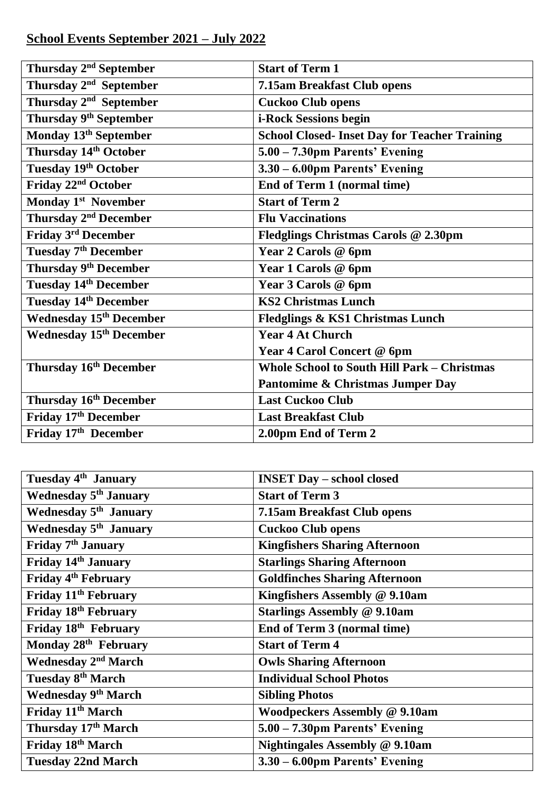## **School Events September 2021 – July 2022**

| Thursday 2 <sup>nd</sup> September | <b>Start of Term 1</b>                               |
|------------------------------------|------------------------------------------------------|
| Thursday 2 <sup>nd</sup> September | 7.15am Breakfast Club opens                          |
| Thursday 2 <sup>nd</sup> September | <b>Cuckoo Club opens</b>                             |
| Thursday 9 <sup>th</sup> September | i-Rock Sessions begin                                |
| Monday 13th September              | <b>School Closed- Inset Day for Teacher Training</b> |
| Thursday 14th October              | 5.00 - 7.30pm Parents' Evening                       |
| Tuesday 19th October               | 3.30 - 6.00pm Parents' Evening                       |
| Friday 22 <sup>nd</sup> October    | <b>End of Term 1 (normal time)</b>                   |
| Monday 1 <sup>st</sup> November    | <b>Start of Term 2</b>                               |
| Thursday 2 <sup>nd</sup> December  | <b>Flu Vaccinations</b>                              |
| Friday 3rd December                | Fledglings Christmas Carols @ 2.30pm                 |
| Tuesday 7 <sup>th</sup> December   | Year 2 Carols @ 6pm                                  |
| Thursday 9 <sup>th</sup> December  | Year 1 Carols @ 6pm                                  |
| <b>Tuesday 14th December</b>       | Year 3 Carols @ 6pm                                  |
| <b>Tuesday 14th December</b>       | <b>KS2 Christmas Lunch</b>                           |
| <b>Wednesday 15th December</b>     | Fledglings & KS1 Christmas Lunch                     |
| <b>Wednesday 15th December</b>     | <b>Year 4 At Church</b>                              |
|                                    | Year 4 Carol Concert @ 6pm                           |
| Thursday 16 <sup>th</sup> December | <b>Whole School to South Hill Park - Christmas</b>   |
|                                    | Pantomime & Christmas Jumper Day                     |
| Thursday 16 <sup>th</sup> December | <b>Last Cuckoo Club</b>                              |
| Friday 17th December               | <b>Last Breakfast Club</b>                           |
| Friday 17th December               | 2.00pm End of Term 2                                 |

| Tuesday 4 <sup>th</sup> January       | <b>INSET Day - school closed</b>      |
|---------------------------------------|---------------------------------------|
| Wednesday 5 <sup>th</sup> January     | <b>Start of Term 3</b>                |
| Wednesday 5 <sup>th</sup> January     | 7.15am Breakfast Club opens           |
| Wednesday 5 <sup>th</sup> January     | <b>Cuckoo Club opens</b>              |
| Friday 7 <sup>th</sup> January        | <b>Kingfishers Sharing Afternoon</b>  |
| Friday 14th January                   | <b>Starlings Sharing Afternoon</b>    |
| Friday 4 <sup>th</sup> February       | <b>Goldfinches Sharing Afternoon</b>  |
| Friday 11 <sup>th</sup> February      | Kingfishers Assembly @ 9.10am         |
| Friday 18th February                  | <b>Starlings Assembly @ 9.10am</b>    |
| Friday 18th February                  | End of Term 3 (normal time)           |
| Monday 28th February                  | <b>Start of Term 4</b>                |
| <b>Wednesday 2<sup>nd</sup> March</b> | <b>Owls Sharing Afternoon</b>         |
| Tuesday 8 <sup>th</sup> March         | <b>Individual School Photos</b>       |
| <b>Wednesday 9th March</b>            | <b>Sibling Photos</b>                 |
| Friday 11 <sup>th</sup> March         | <b>Woodpeckers Assembly @ 9.10am</b>  |
| Thursday 17th March                   | 5.00 - 7.30pm Parents' Evening        |
| Friday 18th March                     | <b>Nightingales Assembly @ 9.10am</b> |
| <b>Tuesday 22nd March</b>             | 3.30 – 6.00pm Parents' Evening        |